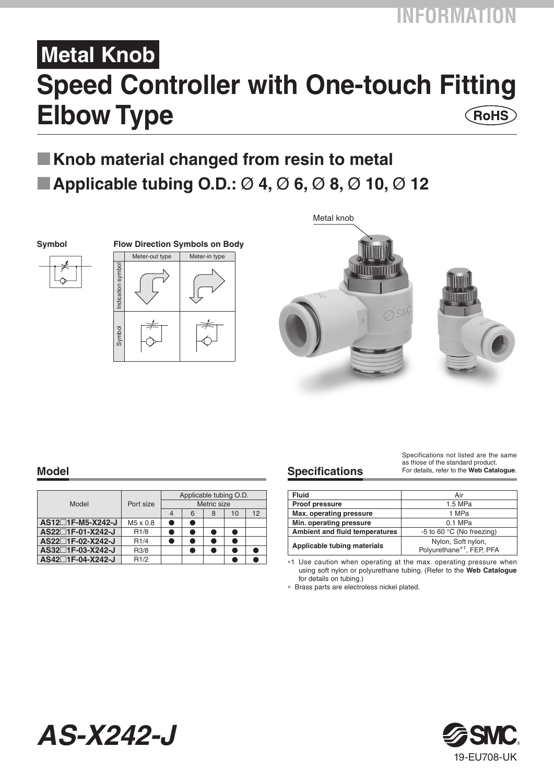# **Metal Knob Speed Controller with One-touch Fitting Elbow Type**  $($ RoHS $)$

# **Knob material changed from resin to metal Applicable tubing O.D.:** Ø **4,** Ø **6,** Ø **8,** Ø **10,** Ø **12**



**Symbol Flow Direction Symbols on Body** Meter-out type Meter-in type Indication symbol ndication symbo Symbol





| Model             | Port size         | Applicable tubing O.D.<br>Metric size |   |   |    |    |  |  |  |  |  |  |
|-------------------|-------------------|---------------------------------------|---|---|----|----|--|--|--|--|--|--|
|                   |                   |                                       | 6 | 8 | 10 | 12 |  |  |  |  |  |  |
| AS12□1F-M5-X242-J | M5 x 0.8          |                                       | œ |   |    |    |  |  |  |  |  |  |
| AS22□1F-01-X242-J | R <sub>1/8</sub>  |                                       | e |   | ۰  |    |  |  |  |  |  |  |
| AS22□1F-02-X242-J | R1/4              |                                       |   |   |    |    |  |  |  |  |  |  |
| AS32□1F-03-X242-J | R <sub>3</sub> /8 |                                       |   |   |    |    |  |  |  |  |  |  |
| AS42□1F-04-X242-J | R1/2              |                                       |   |   |    |    |  |  |  |  |  |  |

*AS-X242-J*

# **Model Specifications**

Specifications not listed are the same as those of the standard product. For details, refer to the **Web Catalogue**.

| <b>Fluid</b>                          | Air                                                         |  |  |  |  |  |  |  |
|---------------------------------------|-------------------------------------------------------------|--|--|--|--|--|--|--|
| <b>Proof pressure</b>                 | 1.5 MPa                                                     |  |  |  |  |  |  |  |
| Max. operating pressure               | 1 MPa                                                       |  |  |  |  |  |  |  |
| Min. operating pressure               | $0.1$ MPa                                                   |  |  |  |  |  |  |  |
| <b>Ambient and fluid temperatures</b> | -5 to 60 °C (No freezing)                                   |  |  |  |  |  |  |  |
| Applicable tubing materials           | Nylon, Soft nylon,<br>Polyurethane <sup>*1</sup> , FEP, PFA |  |  |  |  |  |  |  |

\*1 Use caution when operating at the max. operating pressure when using soft nylon or polyurethane tubing. (Refer to the **Web Catalogue** for details on tubing.)

\* Brass parts are electroless nickel plated.